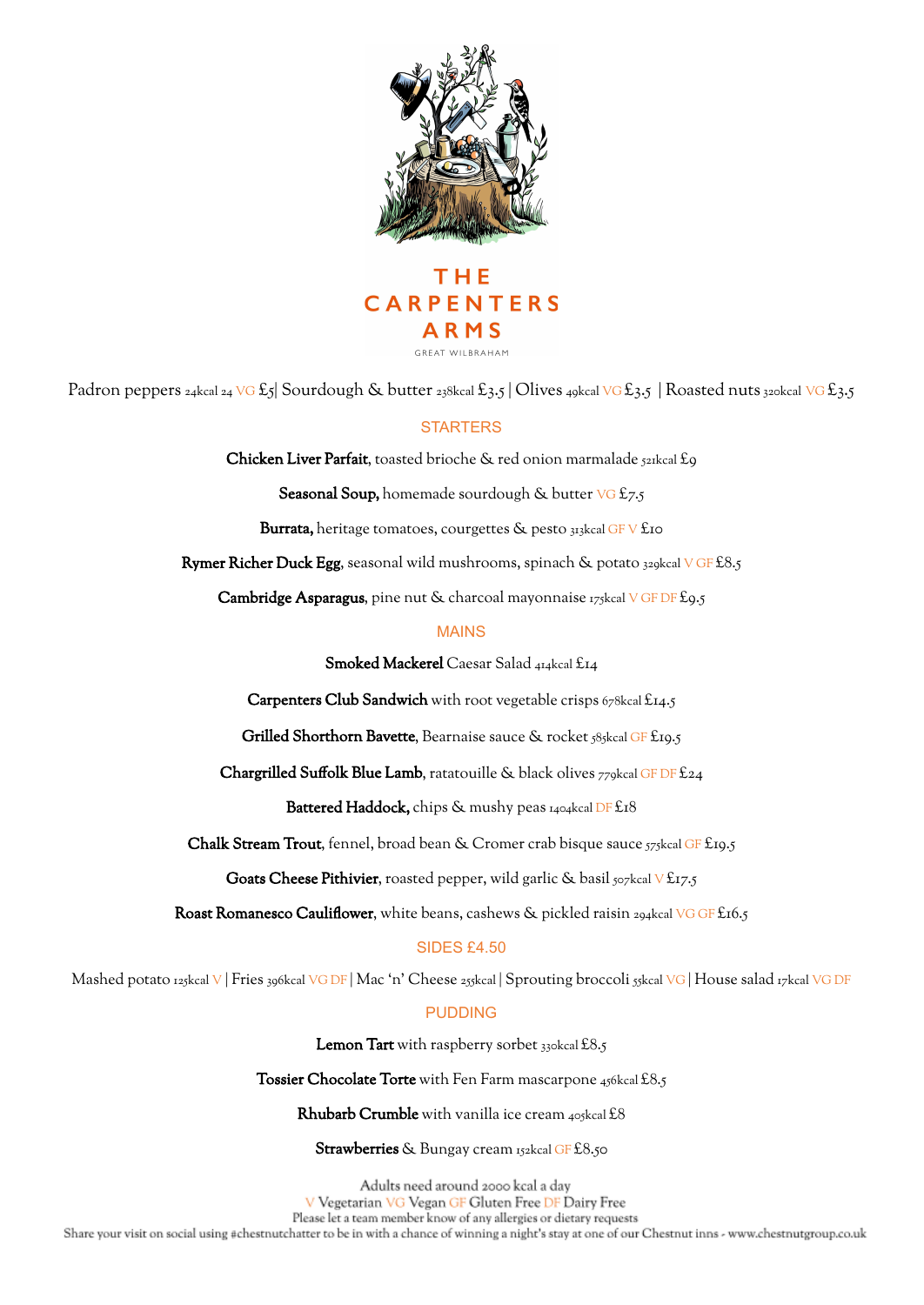



Padron peppers 24kcal 24 VG £5| Sourdough & butter 238kcal £3.5 | Olives 49kcal VG £3.5 | Roasted nuts 320kcal VG £3.5

## **STARTERS**

Chicken Liver Parfait, toasted brioche & red onion marmalade 521kcal £9

Seasonal Soup, homemade sourdough & butter VG £7.5

Burrata, heritage tomatoes, courgettes & pesto 313kcal GFV £10

**Rymer Richer Duck Egg,** seasonal wild mushrooms, spinach & potato  $329$ kcal V GF £8.5

Cambridge Asparagus, pine nut & charcoal mayonnaise 175kcal V GF DF £9.5

## MAINS

Smoked Mackerel Caesar Salad 414kcal £14

Carpenters Club Sandwich with root vegetable crisps 678kcal £14.5

Grilled Shorthorn Bavette, Bearnaise sauce & rocket 585kcal GF £19.5

Chargrilled Suffolk Blue Lamb, ratatouille & black olives 779kcal GF DF £24

Battered Haddock, chips & mushy peas 1404kcal DF £18

Chalk Stream Trout, fennel, broad bean & Cromer crab bisque sauce 575kcal GF £19.5

Goats Cheese Pithivier, roasted pepper, wild garlic & basil  $507$ kcal V £17.5

Roast Romanesco Cauliflower, white beans, cashews & pickled raisin 294kcal VG GF £16.5

## SIDES £4.50

Mashed potato 125kcal V | Fries 396kcal VG DF | Mac 'n' Cheese 255kcal | Sprouting broccoli 55kcal VG | House salad 17kcal VG DF

## PUDDING

Lemon Tart with raspberry sorbet 330kcal £8.5

Tossier Chocolate Torte with Fen Farm mascarpone 456kcal £8.5

Rhubarb Crumble with vanilla ice cream 405kcal £8

Strawberries & Bungay cream 152kcal GF £8.50

Adults need around 2000 kcal a day<br>V Vegetarian VG Vegan GF Gluten Free DF Dairy Free Please let a team member know of any allergies or dietary requests Share your visit on social using #chestnutchatter to be in with a chance of winning a night's stay at one of our Chestnut inns - www.chestnutgroup.co.uk